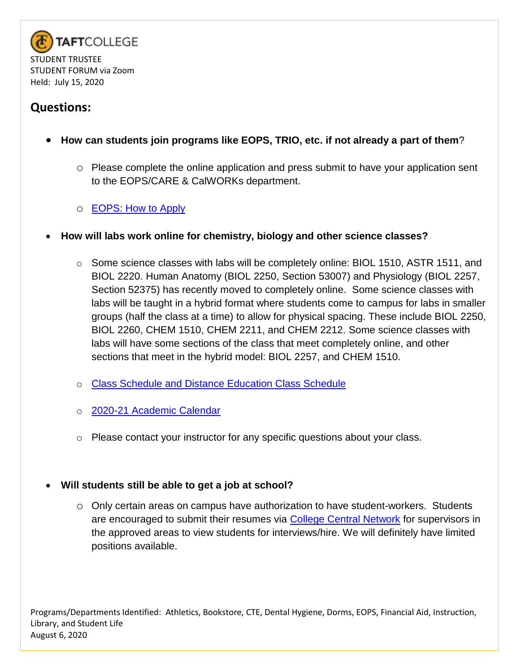

- **How can students join programs like EOPS, TRIO, etc. if not already a part of them**?
	- o Please complete the online application and press submit to have your application sent to the EOPS/CARE & CalWORKs department.
	- o [EOPS: How to Apply](http://www.taftcollege.edu/eops/eops/how-to-apply/)
- **How will labs work online for chemistry, biology and other science classes?**
	- $\circ$  Some science classes with labs will be completely online: BIOL 1510, ASTR 1511, and BIOL 2220. Human Anatomy (BIOL 2250, Section 53007) and Physiology (BIOL 2257, Section 52375) has recently moved to completely online. Some science classes with labs will be taught in a hybrid format where students come to campus for labs in smaller groups (half the class at a time) to allow for physical spacing. These include BIOL 2250, BIOL 2260, CHEM 1510, CHEM 2211, and CHEM 2212. Some science classes with labs will have some sections of the class that meet completely online, and other sections that meet in the hybrid model: BIOL 2257, and CHEM 1510.
	- o [Class Schedule and Distance Education Class Schedule](https://www.taftcollege.edu/admissions/register/class-schedule-2/)
	- o [2020-21 Academic Calendar](https://www.taftcollege.edu/human-resources/wp-content/uploads/sites/54/2018/11/2020-21-calendar.pdf)
	- o Please contact your instructor for any specific questions about your class.

#### **Will students still be able to get a job at school?**

o Only certain areas on campus have authorization to have student-workers. Students are encouraged to submit their resumes via [College Central Network](https://www.taftcollege.edu/financial-aid/work-study/) for supervisors in the approved areas to view students for interviews/hire. We will definitely have limited positions available.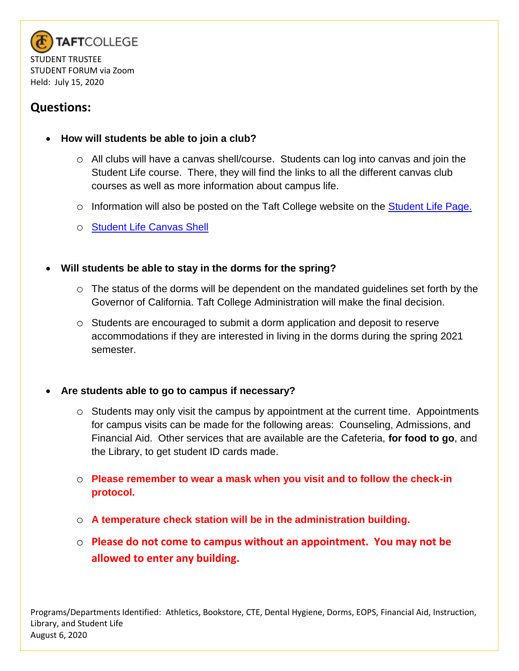

- **How will students be able to join a club?**
	- $\circ$  All clubs will have a canvas shell/course. Students can log into canvas and join the Student Life course. There, they will find the links to all the different canvas club courses as well as more information about campus life.
	- o Information will also be posted on the Taft College website on the **Student Life Page.**
	- o [Student Life Canvas Shell](o%09https:/taftcollege.instructure.com/courses/5079/pages/welcome-to-the-student-life-page-join-a-club-today)

### **Will students be able to stay in the dorms for the spring?**

- o The status of the dorms will be dependent on the mandated guidelines set forth by the Governor of California. Taft College Administration will make the final decision.
- o Students are encouraged to submit a dorm application and deposit to reserve accommodations if they are interested in living in the dorms during the spring 2021 semester.

#### **Are students able to go to campus if necessary?**

- $\circ$  Students may only visit the campus by appointment at the current time. Appointments for campus visits can be made for the following areas: Counseling, Admissions, and Financial Aid. Other services that are available are the Cafeteria, **for food to go**, and the Library, to get student ID cards made.
- o **Please remember to wear a mask when you visit and to follow the check-in protocol.**
- o **A temperature check station will be in the administration building.**
- o **Please do not come to campus without an appointment. You may not be allowed to enter any building.**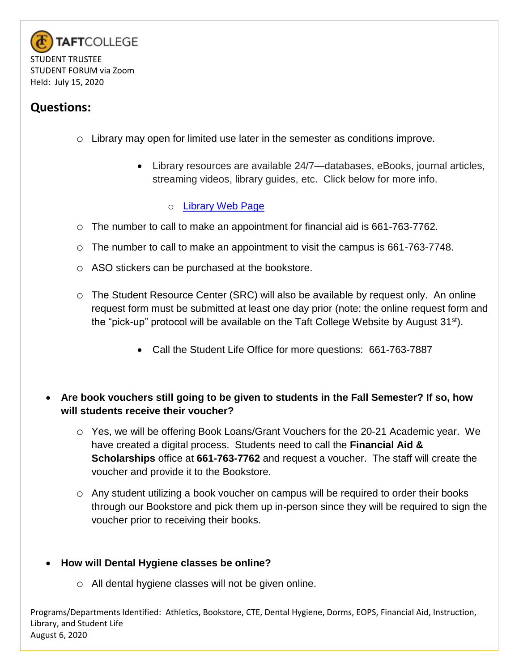

- o Library may open for limited use later in the semester as conditions improve.
	- Library resources are available 24/7—databases, eBooks, journal articles, streaming videos, library guides, etc. Click below for more info.
		- o [Library Web Page](https://www.taftcollege.edu/library/)
- o The number to call to make an appointment for financial aid is 661-763-7762.
- $\circ$  The number to call to make an appointment to visit the campus is 661-763-7748.
- o ASO stickers can be purchased at the bookstore.
- o The Student Resource Center (SRC) will also be available by request only. An online request form must be submitted at least one day prior (note: the online request form and the "pick-up" protocol will be available on the Taft College Website by August 31st).
	- Call the Student Life Office for more questions: 661-763-7887
- **Are book vouchers still going to be given to students in the Fall Semester? If so, how will students receive their voucher?**
	- o Yes, we will be offering Book Loans/Grant Vouchers for the 20-21 Academic year. We have created a digital process. Students need to call the **Financial Aid & Scholarships** office at **661-763-7762** and request a voucher. The staff will create the voucher and provide it to the Bookstore.
	- o Any student utilizing a book voucher on campus will be required to order their books through our Bookstore and pick them up in-person since they will be required to sign the voucher prior to receiving their books.

#### **How will Dental Hygiene classes be online?**

o All dental hygiene classes will not be given online.

Programs/Departments Identified: Athletics, Bookstore, CTE, Dental Hygiene, Dorms, EOPS, Financial Aid, Instruction, Library, and Student Life August 6, 2020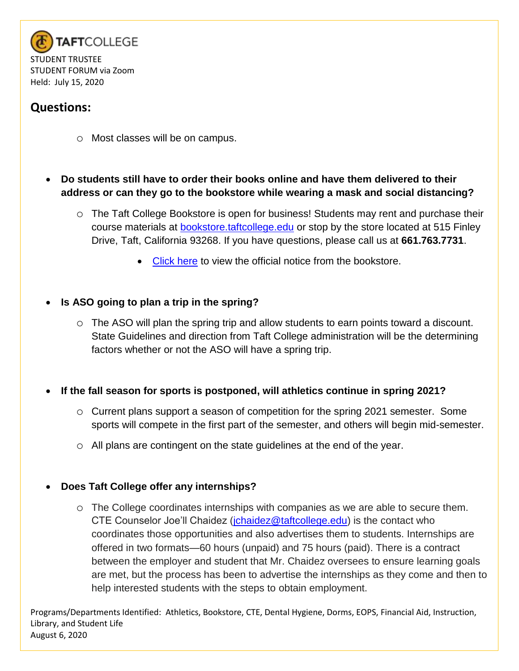

- o Most classes will be on campus.
- **Do students still have to order their books online and have them delivered to their address or can they go to the bookstore while wearing a mask and social distancing?**
	- o The Taft College Bookstore is open for business! Students may rent and purchase their course materials at **bookstore.taftcollege.edu** or stop by the store located at 515 Finley Drive, Taft, California 93268. If you have questions, please call us at **661.763.7731**.
		- [Click here](http://bookstore.taftcollege.edu/StoreFiles/27-SchoolFiles/27-pdf/27-Attention%20Taft%20College%20Students%20fall%202020.pdf) to view the official notice from the bookstore.

### **Is ASO going to plan a trip in the spring?**

o The ASO will plan the spring trip and allow students to earn points toward a discount. State Guidelines and direction from Taft College administration will be the determining factors whether or not the ASO will have a spring trip.

#### **If the fall season for sports is postponed, will athletics continue in spring 2021?**

- $\circ$  Current plans support a season of competition for the spring 2021 semester. Some sports will compete in the first part of the semester, and others will begin mid-semester.
- o All plans are contingent on the state guidelines at the end of the year.

#### **Does Taft College offer any internships?**

o The College coordinates internships with companies as we are able to secure them. CTE Counselor Joe'll Chaidez [\(jchaidez@taftcollege.edu\)](mailto:jchaidez@taftcollege.edu) is the contact who coordinates those opportunities and also advertises them to students. Internships are offered in two formats—60 hours (unpaid) and 75 hours (paid). There is a contract between the employer and student that Mr. Chaidez oversees to ensure learning goals are met, but the process has been to advertise the internships as they come and then to help interested students with the steps to obtain employment.

Programs/Departments Identified: Athletics, Bookstore, CTE, Dental Hygiene, Dorms, EOPS, Financial Aid, Instruction, Library, and Student Life August 6, 2020